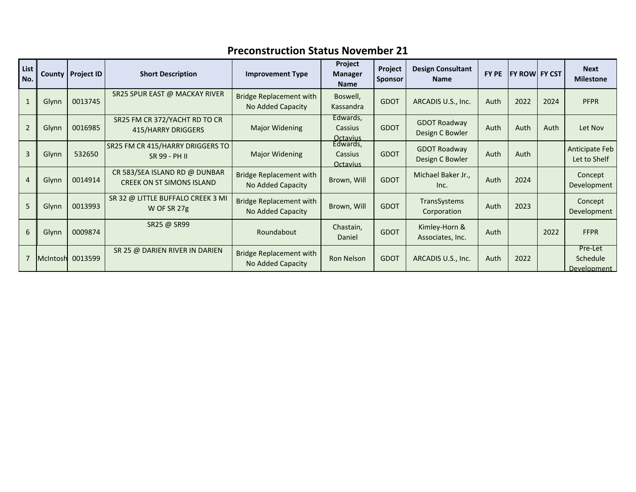| List<br>No.    | County | <b>Project ID</b> | <b>Short Description</b>                                          | <b>Improvement Type</b>                             | Project<br><b>Manager</b><br><b>Name</b>           | Project<br><b>Sponsor</b> | <b>Design Consultant</b><br><b>Name</b> | FY PE | <b>FY ROWL FY CST</b> |      | <b>Next</b><br><b>Milestone</b>    |
|----------------|--------|-------------------|-------------------------------------------------------------------|-----------------------------------------------------|----------------------------------------------------|---------------------------|-----------------------------------------|-------|-----------------------|------|------------------------------------|
|                | Glynn  | 0013745           | SR25 SPUR EAST @ MACKAY RIVER                                     | <b>Bridge Replacement with</b><br>No Added Capacity | Boswell,<br>Kassandra                              | <b>GDOT</b>               | ARCADIS U.S., Inc.                      | Auth  | 2022                  | 2024 | <b>PFPR</b>                        |
| $\overline{2}$ | Glynn  | 0016985           | SR25 FM CR 372/YACHT RD TO CR<br>415/HARRY DRIGGERS               | Major Widening                                      | Edwards,<br>Cassius                                | <b>GDOT</b>               | <b>GDOT Roadway</b><br>Design C Bowler  | Auth  | Auth                  | Auth | Let Nov                            |
| $\overline{3}$ | Glynn  | 532650            | SR25 FM CR 415/HARRY DRIGGERS TO<br>SR 99 - PH II                 | Major Widening                                      | Octavius<br>Edwards,<br>Cassius<br><b>Octavius</b> | <b>GDOT</b>               | <b>GDOT Roadway</b><br>Design C Bowler  | Auth  | Auth                  |      | Anticipate Feb<br>Let to Shelf     |
| $\overline{4}$ | Glynn  | 0014914           | CR 583/SEA ISLAND RD @ DUNBAR<br><b>CREEK ON ST SIMONS ISLAND</b> | <b>Bridge Replacement with</b><br>No Added Capacity | Brown, Will                                        | <b>GDOT</b>               | Michael Baker Jr.,<br>Inc.              | Auth  | 2024                  |      | Concept<br>Development             |
| 5              | Glynn  | 0013993           | SR 32 @ LITTLE BUFFALO CREEK 3 MI<br>W OF SR 27g                  | <b>Bridge Replacement with</b><br>No Added Capacity | Brown, Will                                        | <b>GDOT</b>               | TransSystems<br>Corporation             | Auth  | 2023                  |      | Concept<br>Development             |
| 6              | Glynn  | 0009874           | SR25 @ SR99                                                       | Roundabout                                          | Chastain,<br>Daniel                                | <b>GDOT</b>               | Kimley-Horn &<br>Associates, Inc.       | Auth  |                       | 2022 | <b>FFPR</b>                        |
|                |        | McIntosh 0013599  | SR 25 @ DARIEN RIVER IN DARIEN                                    | <b>Bridge Replacement with</b><br>No Added Capacity | <b>Ron Nelson</b>                                  | <b>GDOT</b>               | ARCADIS U.S., Inc.                      | Auth  | 2022                  |      | Pre-Let<br>Schedule<br>Development |

## **Preconstruction Status November 21**